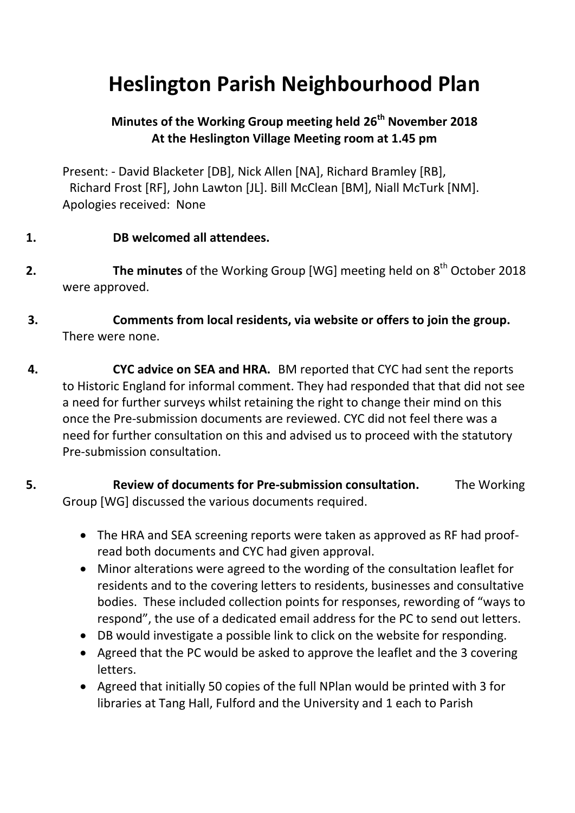## **Heslington Parish Neighbourhood Plan**

## **Minutes of the Working Group meeting held 26th November 2018 At the Heslington Village Meeting room at 1.45 pm**

Present: - David Blacketer [DB], Nick Allen [NA], Richard Bramley [RB], Richard Frost [RF], John Lawton [JL]. Bill McClean [BM], Niall McTurk [NM]. Apologies received: None

## **1. DB welcomed all attendees.**

- **2.** The minutes of the Working Group [WG] meeting held on 8<sup>th</sup> October 2018 were approved.
- **3. Comments from local residents, via website or offers to join the group.**  There were none.

**4. CYC advice on SEA and HRA.** BM reported that CYC had sent the reports to Historic England for informal comment. They had responded that that did not see a need for further surveys whilst retaining the right to change their mind on this once the Pre-submission documents are reviewed. CYC did not feel there was a need for further consultation on this and advised us to proceed with the statutory Pre-submission consultation.

- **5. Review of documents for Pre-submission consultation.** The Working Group [WG] discussed the various documents required.
	- The HRA and SEA screening reports were taken as approved as RF had proofread both documents and CYC had given approval.
	- Minor alterations were agreed to the wording of the consultation leaflet for residents and to the covering letters to residents, businesses and consultative bodies. These included collection points for responses, rewording of "ways to respond", the use of a dedicated email address for the PC to send out letters.
	- DB would investigate a possible link to click on the website for responding.
	- Agreed that the PC would be asked to approve the leaflet and the 3 covering letters.
	- Agreed that initially 50 copies of the full NPlan would be printed with 3 for libraries at Tang Hall, Fulford and the University and 1 each to Parish